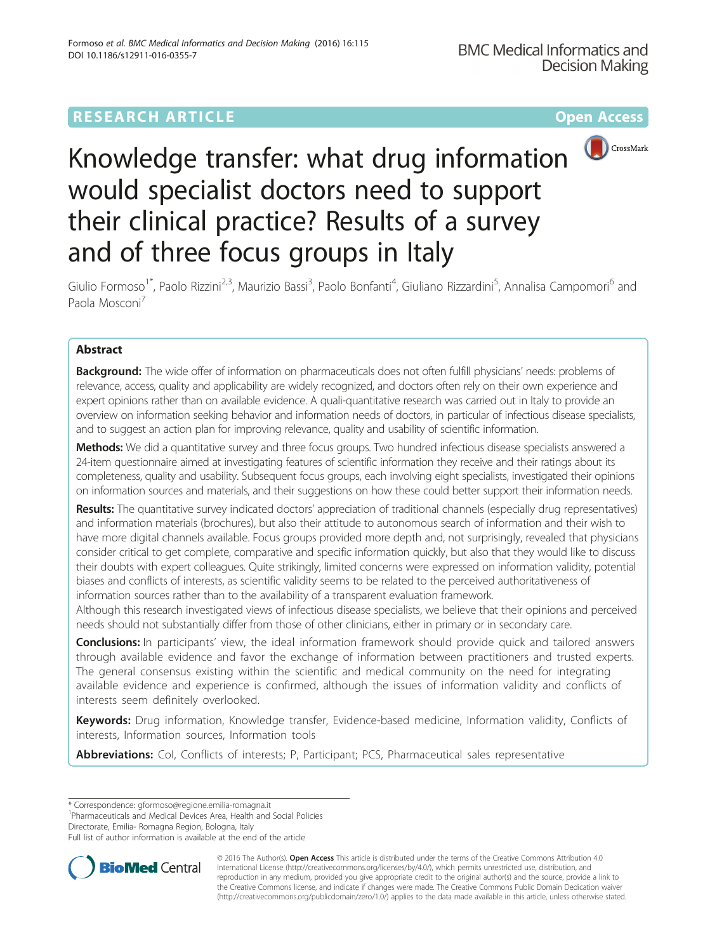# **RESEARCH ARTICLE Example 2014 12:30 The Company Access** (RESEARCH ARTICLE



# Knowledge transfer: what drug information would specialist doctors need to support their clinical practice? Results of a survey and of three focus groups in Italy

Giulio Formoso<sup>1\*</sup>, Paolo Rizzini<sup>2,3</sup>, Maurizio Bassi<sup>3</sup>, Paolo Bonfanti<sup>4</sup>, Giuliano Rizzardini<sup>5</sup>, Annalisa Campomori<sup>6</sup> and Paola Mosconi<sup>7</sup>

# Abstract

**Background:** The wide offer of information on pharmaceuticals does not often fulfill physicians' needs: problems of relevance, access, quality and applicability are widely recognized, and doctors often rely on their own experience and expert opinions rather than on available evidence. A quali-quantitative research was carried out in Italy to provide an overview on information seeking behavior and information needs of doctors, in particular of infectious disease specialists, and to suggest an action plan for improving relevance, quality and usability of scientific information.

Methods: We did a quantitative survey and three focus groups. Two hundred infectious disease specialists answered a 24-item questionnaire aimed at investigating features of scientific information they receive and their ratings about its completeness, quality and usability. Subsequent focus groups, each involving eight specialists, investigated their opinions on information sources and materials, and their suggestions on how these could better support their information needs.

Results: The quantitative survey indicated doctors' appreciation of traditional channels (especially drug representatives) and information materials (brochures), but also their attitude to autonomous search of information and their wish to have more digital channels available. Focus groups provided more depth and, not surprisingly, revealed that physicians consider critical to get complete, comparative and specific information quickly, but also that they would like to discuss their doubts with expert colleagues. Quite strikingly, limited concerns were expressed on information validity, potential biases and conflicts of interests, as scientific validity seems to be related to the perceived authoritativeness of information sources rather than to the availability of a transparent evaluation framework.

Although this research investigated views of infectious disease specialists, we believe that their opinions and perceived needs should not substantially differ from those of other clinicians, either in primary or in secondary care.

**Conclusions:** In participants' view, the ideal information framework should provide quick and tailored answers through available evidence and favor the exchange of information between practitioners and trusted experts. The general consensus existing within the scientific and medical community on the need for integrating available evidence and experience is confirmed, although the issues of information validity and conflicts of interests seem definitely overlooked.

Keywords: Drug information, Knowledge transfer, Evidence-based medicine, Information validity, Conflicts of interests, Information sources, Information tools

Abbreviations: Col, Conflicts of interests; P, Participant; PCS, Pharmaceutical sales representative

<sup>1</sup>Pharmaceuticals and Medical Devices Area, Health and Social Policies

Directorate, Emilia- Romagna Region, Bologna, Italy

Full list of author information is available at the end of the article



© 2016 The Author(s). Open Access This article is distributed under the terms of the Creative Commons Attribution 4.0 International License [\(http://creativecommons.org/licenses/by/4.0/](http://creativecommons.org/licenses/by/4.0/)), which permits unrestricted use, distribution, and reproduction in any medium, provided you give appropriate credit to the original author(s) and the source, provide a link to the Creative Commons license, and indicate if changes were made. The Creative Commons Public Domain Dedication waiver [\(http://creativecommons.org/publicdomain/zero/1.0/](http://creativecommons.org/publicdomain/zero/1.0/)) applies to the data made available in this article, unless otherwise stated.

<sup>\*</sup> Correspondence: [gformoso@regione.emilia-romagna.it](mailto:gformoso@regione.emilia-romagna.it) <sup>1</sup>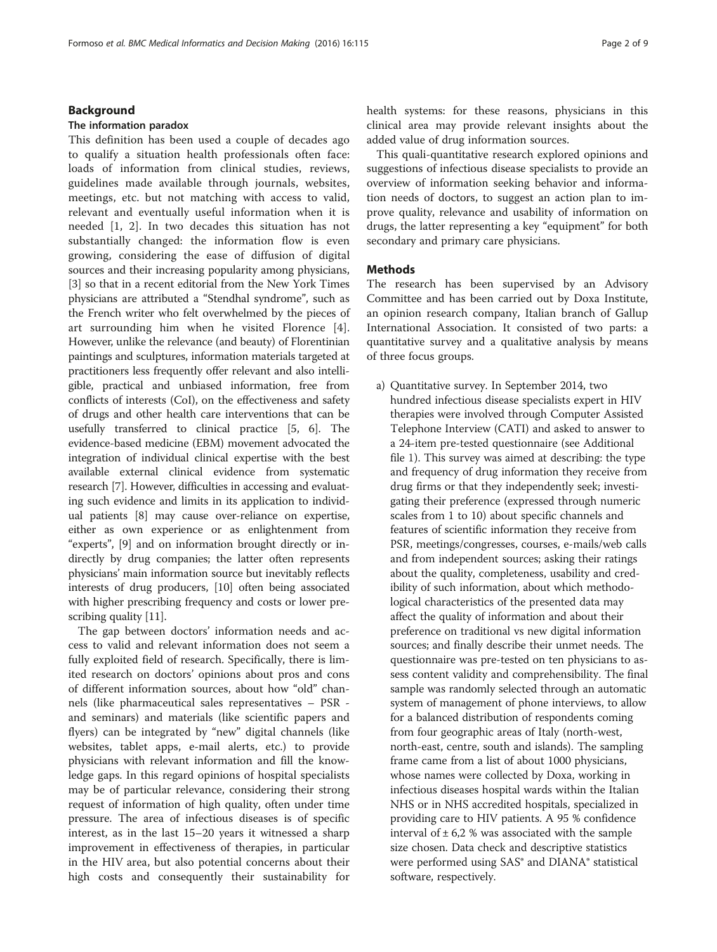# Background

# The information paradox

This definition has been used a couple of decades ago to qualify a situation health professionals often face: loads of information from clinical studies, reviews, guidelines made available through journals, websites, meetings, etc. but not matching with access to valid, relevant and eventually useful information when it is needed [[1, 2](#page-7-0)]. In two decades this situation has not substantially changed: the information flow is even growing, considering the ease of diffusion of digital sources and their increasing popularity among physicians, [[3\]](#page-7-0) so that in a recent editorial from the New York Times physicians are attributed a "Stendhal syndrome", such as the French writer who felt overwhelmed by the pieces of art surrounding him when he visited Florence [\[4](#page-7-0)]. However, unlike the relevance (and beauty) of Florentinian paintings and sculptures, information materials targeted at practitioners less frequently offer relevant and also intelligible, practical and unbiased information, free from conflicts of interests (CoI), on the effectiveness and safety of drugs and other health care interventions that can be usefully transferred to clinical practice [[5, 6](#page-8-0)]. The evidence-based medicine (EBM) movement advocated the integration of individual clinical expertise with the best available external clinical evidence from systematic research [[7](#page-8-0)]. However, difficulties in accessing and evaluating such evidence and limits in its application to individual patients [\[8\]](#page-8-0) may cause over-reliance on expertise, either as own experience or as enlightenment from "experts", [[9](#page-8-0)] and on information brought directly or indirectly by drug companies; the latter often represents physicians' main information source but inevitably reflects interests of drug producers, [\[10\]](#page-8-0) often being associated with higher prescribing frequency and costs or lower pre-scribing quality [[11](#page-8-0)].

The gap between doctors' information needs and access to valid and relevant information does not seem a fully exploited field of research. Specifically, there is limited research on doctors' opinions about pros and cons of different information sources, about how "old" channels (like pharmaceutical sales representatives – PSR and seminars) and materials (like scientific papers and flyers) can be integrated by "new" digital channels (like websites, tablet apps, e-mail alerts, etc.) to provide physicians with relevant information and fill the knowledge gaps. In this regard opinions of hospital specialists may be of particular relevance, considering their strong request of information of high quality, often under time pressure. The area of infectious diseases is of specific interest, as in the last 15–20 years it witnessed a sharp improvement in effectiveness of therapies, in particular in the HIV area, but also potential concerns about their high costs and consequently their sustainability for health systems: for these reasons, physicians in this clinical area may provide relevant insights about the added value of drug information sources.

This quali-quantitative research explored opinions and suggestions of infectious disease specialists to provide an overview of information seeking behavior and information needs of doctors, to suggest an action plan to improve quality, relevance and usability of information on drugs, the latter representing a key "equipment" for both secondary and primary care physicians.

# **Methods**

The research has been supervised by an Advisory Committee and has been carried out by Doxa Institute, an opinion research company, Italian branch of Gallup International Association. It consisted of two parts: a quantitative survey and a qualitative analysis by means of three focus groups.

a) Quantitative survey. In September 2014, two hundred infectious disease specialists expert in HIV therapies were involved through Computer Assisted Telephone Interview (CATI) and asked to answer to a 24-item pre-tested questionnaire (see Additional file [1](#page-7-0)). This survey was aimed at describing: the type and frequency of drug information they receive from drug firms or that they independently seek; investigating their preference (expressed through numeric scales from 1 to 10) about specific channels and features of scientific information they receive from PSR, meetings/congresses, courses, e-mails/web calls and from independent sources; asking their ratings about the quality, completeness, usability and credibility of such information, about which methodological characteristics of the presented data may affect the quality of information and about their preference on traditional vs new digital information sources; and finally describe their unmet needs. The questionnaire was pre-tested on ten physicians to assess content validity and comprehensibility. The final sample was randomly selected through an automatic system of management of phone interviews, to allow for a balanced distribution of respondents coming from four geographic areas of Italy (north-west, north-east, centre, south and islands). The sampling frame came from a list of about 1000 physicians, whose names were collected by Doxa, working in infectious diseases hospital wards within the Italian NHS or in NHS accredited hospitals, specialized in providing care to HIV patients. A 95 % confidence interval of  $\pm$  6,2 % was associated with the sample size chosen. Data check and descriptive statistics were performed using SAS<sup>®</sup> and DIANA<sup>®</sup> statistical software, respectively.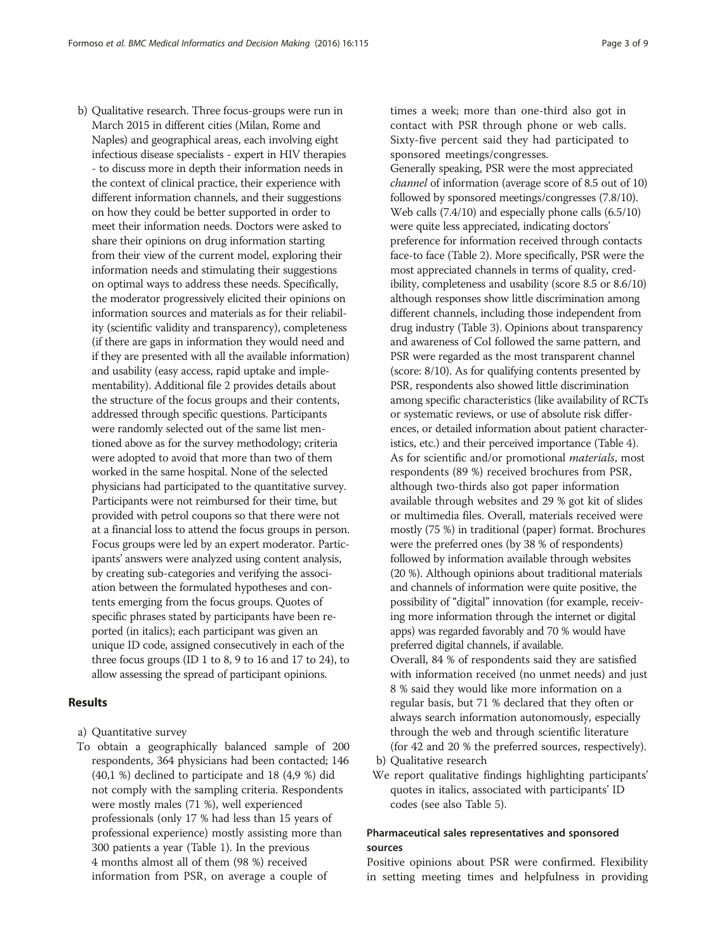b) Qualitative research. Three focus-groups were run in March 2015 in different cities (Milan, Rome and Naples) and geographical areas, each involving eight infectious disease specialists - expert in HIV therapies - to discuss more in depth their information needs in the context of clinical practice, their experience with different information channels, and their suggestions on how they could be better supported in order to meet their information needs. Doctors were asked to share their opinions on drug information starting from their view of the current model, exploring their information needs and stimulating their suggestions on optimal ways to address these needs. Specifically, the moderator progressively elicited their opinions on information sources and materials as for their reliability (scientific validity and transparency), completeness (if there are gaps in information they would need and if they are presented with all the available information) and usability (easy access, rapid uptake and implementability). Additional file [2](#page-7-0) provides details about the structure of the focus groups and their contents, addressed through specific questions. Participants were randomly selected out of the same list mentioned above as for the survey methodology; criteria were adopted to avoid that more than two of them worked in the same hospital. None of the selected physicians had participated to the quantitative survey. Participants were not reimbursed for their time, but provided with petrol coupons so that there were not at a financial loss to attend the focus groups in person. Focus groups were led by an expert moderator. Participants' answers were analyzed using content analysis, by creating sub-categories and verifying the association between the formulated hypotheses and contents emerging from the focus groups. Quotes of specific phrases stated by participants have been reported (in italics); each participant was given an unique ID code, assigned consecutively in each of the three focus groups (ID 1 to 8, 9 to 16 and 17 to 24), to allow assessing the spread of participant opinions.

# Results

- a) Quantitative survey
- To obtain a geographically balanced sample of 200 respondents, 364 physicians had been contacted; 146 (40,1 %) declined to participate and 18 (4,9 %) did not comply with the sampling criteria. Respondents were mostly males (71 %), well experienced professionals (only 17 % had less than 15 years of professional experience) mostly assisting more than 300 patients a year (Table [1\)](#page-3-0). In the previous 4 months almost all of them (98 %) received information from PSR, on average a couple of

times a week; more than one-third also got in contact with PSR through phone or web calls. Sixty-five percent said they had participated to sponsored meetings/congresses. Generally speaking, PSR were the most appreciated channel of information (average score of 8.5 out of 10) followed by sponsored meetings/congresses (7.8/10). Web calls (7.4/10) and especially phone calls (6.5/10) were quite less appreciated, indicating doctors' preference for information received through contacts face-to face (Table [2\)](#page-3-0). More specifically, PSR were the most appreciated channels in terms of quality, credibility, completeness and usability (score 8.5 or 8.6/10) although responses show little discrimination among different channels, including those independent from drug industry (Table [3\)](#page-3-0). Opinions about transparency and awareness of CoI followed the same pattern, and PSR were regarded as the most transparent channel (score: 8/10). As for qualifying contents presented by PSR, respondents also showed little discrimination among specific characteristics (like availability of RCTs or systematic reviews, or use of absolute risk differences, or detailed information about patient characteristics, etc.) and their perceived importance (Table [4](#page-3-0)). As for scientific and/or promotional materials, most respondents (89 %) received brochures from PSR, although two-thirds also got paper information available through websites and 29 % got kit of slides or multimedia files. Overall, materials received were mostly (75 %) in traditional (paper) format. Brochures were the preferred ones (by 38 % of respondents) followed by information available through websites (20 %). Although opinions about traditional materials and channels of information were quite positive, the possibility of "digital" innovation (for example, receiving more information through the internet or digital apps) was regarded favorably and 70 % would have preferred digital channels, if available. Overall, 84 % of respondents said they are satisfied with information received (no unmet needs) and just 8 % said they would like more information on a regular basis, but 71 % declared that they often or always search information autonomously, especially

- b) Qualitative research
- We report qualitative findings highlighting participants' quotes in italics, associated with participants' ID codes (see also Table [5\)](#page-4-0).

through the web and through scientific literature (for 42 and 20 % the preferred sources, respectively).

# Pharmaceutical sales representatives and sponsored sources

Positive opinions about PSR were confirmed. Flexibility in setting meeting times and helpfulness in providing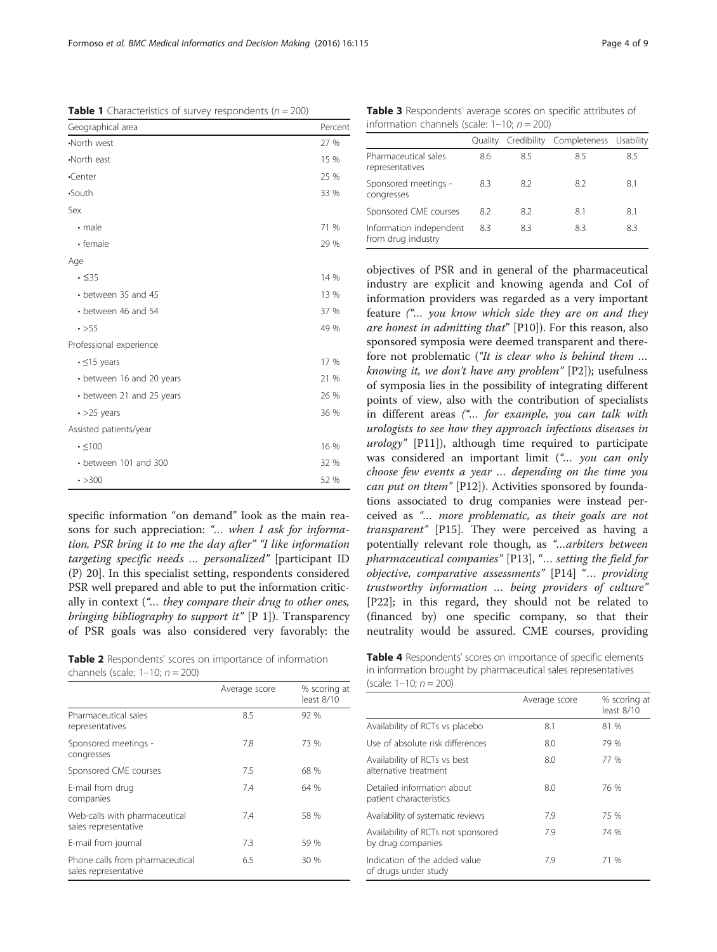specific information "on demand" look as the main reasons for such appreciation: "... when I ask for information, PSR bring it to me the day after" "I like information targeting specific needs … personalized" [participant ID (P) 20]. In this specialist setting, respondents considered PSR well prepared and able to put the information critically in context ("… they compare their drug to other ones, bringing bibliography to support it"  $[P 1]$ ). Transparency of PSR goals was also considered very favorably: the

Table 2 Respondents' scores on importance of information channels (scale:  $1-10$ ;  $n = 200$ )

|                                                         | Average score | % scoring at<br>least 8/10 |
|---------------------------------------------------------|---------------|----------------------------|
| Pharmaceutical sales<br>representatives                 | 8.5           | 92%                        |
| Sponsored meetings -<br>congresses                      | 7.8           | 73 %                       |
| Sponsored CME courses                                   | 7.5           | 68 %                       |
| E-mail from drug<br>companies                           | 7.4           | 64 %                       |
| Web-calls with pharmaceutical<br>sales representative   | 7.4           | 58 %                       |
| E-mail from journal                                     | 7.3           | 59 %                       |
| Phone calls from pharmaceutical<br>sales representative | 6.5           | 30 %                       |
|                                                         |               |                            |

Table 3 Respondents' average scores on specific attributes of information channels (scale:  $1-10$ :  $n = 200$ )

|                                               | Ouality |     | Credibility Completeness Usability |     |  |
|-----------------------------------------------|---------|-----|------------------------------------|-----|--|
| Pharmaceutical sales<br>representatives       | 8.6     | 8.5 | 8.5                                | 8.5 |  |
| Sponsored meetings -<br>congresses            | 8.3     | 8.2 | 8.2                                | 8.1 |  |
| Sponsored CME courses                         | 8.2     | 8.2 | 8.1                                | 8.1 |  |
| Information independent<br>from drug industry | 8.3     | 8.3 | 8.3                                | 8.3 |  |

objectives of PSR and in general of the pharmaceutical industry are explicit and knowing agenda and CoI of information providers was regarded as a very important feature ("… you know which side they are on and they are honest in admitting that" [P10]). For this reason, also sponsored symposia were deemed transparent and therefore not problematic ("It is clear who is behind them … knowing it, we don't have any problem" [P2]); usefulness of symposia lies in the possibility of integrating different points of view, also with the contribution of specialists in different areas ("… for example, you can talk with urologists to see how they approach infectious diseases in urology" [P11]), although time required to participate was considered an important limit ("... you can only choose few events a year … depending on the time you can put on them" [P12]). Activities sponsored by foundations associated to drug companies were instead perceived as "… more problematic, as their goals are not transparent" [P15]. They were perceived as having a potentially relevant role though, as "…arbiters between pharmaceutical companies" [P13], "… setting the field for objective, comparative assessments" [P14] "… providing trustworthy information … being providers of culture" [P22]; in this regard, they should not be related to (financed by) one specific company, so that their neutrality would be assured. CME courses, providing

Table 4 Respondents' scores on importance of specific elements in information brought by pharmaceutical sales representatives (scale:  $1-10; n = 200$ )

|                                                         | Average score | % scoring at<br>least 8/10 |
|---------------------------------------------------------|---------------|----------------------------|
| Availability of RCTs vs placebo                         | 8.1           | 81 %                       |
| Use of absolute risk differences                        | 8.0           | 79 %                       |
| Availability of RCTs vs best<br>alternative treatment   | 8.0           | 77 %                       |
| Detailed information about<br>patient characteristics   | 8.0           | 76 %                       |
| Availability of systematic reviews                      | 7.9           | 75 %                       |
| Availability of RCTs not sponsored<br>by drug companies | 7.9           | 74 %                       |
| Indication of the added value<br>of drugs under study   | 7.9           | 71 %                       |

<span id="page-3-0"></span>•North west 27 % •North east 15 % •Center 25 % •South 33 %

• male 71 % • female 29 %

•  $\leq$ 35 14 % • between 35 and 45 13 % • between 46 and 54 37 % •  $>55$  49 %

 $\cdot$   $\leq$ 15 years 17 % • between 16 and 20 years 21 % • between 21 and 25 years 26% • >25 years 36 %

•  $\leq$ 100 16 %  $\cdot$  between 101 and 300  $\cdot$  32 % •  $>300$  52 %

Sex

Age

Professional experience

Assisted patients/year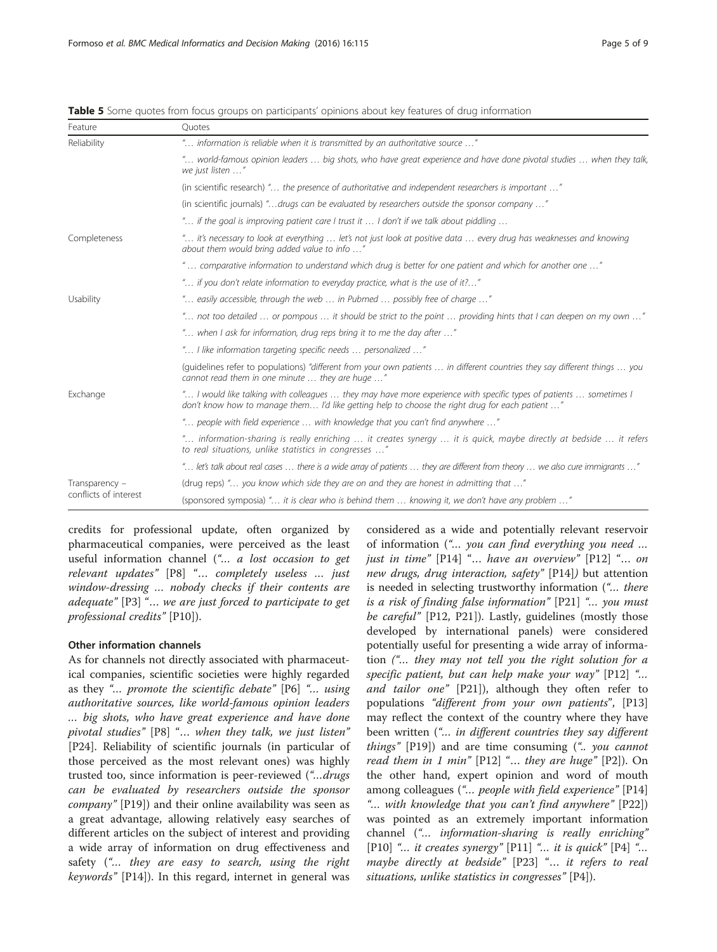| Feature                                 | Ouotes                                                                                                                                                                                                                |
|-----------------------------------------|-----------------------------------------------------------------------------------------------------------------------------------------------------------------------------------------------------------------------|
| Reliability                             | " information is reliable when it is transmitted by an authoritative source "                                                                                                                                         |
|                                         | " world-famous opinion leaders  big shots, who have great experience and have done pivotal studies  when they talk,<br>we just listen "                                                                               |
|                                         | (in scientific research) " the presence of authoritative and independent researchers is important "                                                                                                                   |
|                                         | (in scientific journals) "drugs can be evaluated by researchers outside the sponsor company "                                                                                                                         |
|                                         | " if the goal is improving patient care I trust it  I don't if we talk about piddling                                                                                                                                 |
| Completeness                            | " it's necessary to look at everything  let's not just look at positive data  every drug has weaknesses and knowing<br>about them would bring added value to info"                                                    |
|                                         | " comparative information to understand which drug is better for one patient and which for another one "                                                                                                              |
|                                         | " if you don't relate information to everyday practice, what is the use of it?"                                                                                                                                       |
| Usability                               | " easily accessible, through the web  in Pubmed  possibly free of charge "                                                                                                                                            |
|                                         | " not too detailed  or pompous  it should be strict to the point  providing hints that I can deepen on my own "                                                                                                       |
|                                         | " when I ask for information, drug reps bring it to me the day after "                                                                                                                                                |
|                                         | " I like information targeting specific needs  personalized "                                                                                                                                                         |
|                                         | (quidelines refer to populations) "different from your own patients  in different countries they say different things  you<br>cannot read them in one minute  they are huge "                                         |
| Exchange                                | " I would like talking with colleagues  they may have more experience with specific types of patients  sometimes I<br>don't know how to manage them I'd like getting help to choose the right drug for each patient " |
|                                         | " people with field experience  with knowledge that you can't find anywhere "                                                                                                                                         |
|                                         | " information-sharing is really enriching  it creates synergy  it is quick, maybe directly at bedside  it refers<br>to real situations, unlike statistics in congresses "                                             |
|                                         | " let's talk about real cases  there is a wide array of patients  they are different from theory  we also cure immigrants "                                                                                           |
| Transparency -<br>conflicts of interest | (drug reps) " you know which side they are on and they are honest in admitting that "                                                                                                                                 |
|                                         | (sponsored symposia) " it is clear who is behind them  knowing it, we don't have any problem "                                                                                                                        |

<span id="page-4-0"></span>Table 5 Some quotes from focus groups on participants' opinions about key features of drug information

credits for professional update, often organized by pharmaceutical companies, were perceived as the least useful information channel ("… a lost occasion to get relevant updates" [P8] "… completely useless … just window-dressing … nobody checks if their contents are adequate" [P3] "… we are just forced to participate to get professional credits" [P10]).

# Other information channels

As for channels not directly associated with pharmaceutical companies, scientific societies were highly regarded as they "… promote the scientific debate" [P6] "… using authoritative sources, like world-famous opinion leaders … big shots, who have great experience and have done pivotal studies" [P8] "… when they talk, we just listen" [P24]. Reliability of scientific journals (in particular of those perceived as the most relevant ones) was highly trusted too, since information is peer-reviewed ("…drugs can be evaluated by researchers outside the sponsor company" [P19]) and their online availability was seen as a great advantage, allowing relatively easy searches of different articles on the subject of interest and providing a wide array of information on drug effectiveness and safety ("… they are easy to search, using the right keywords" [P14]). In this regard, internet in general was

considered as a wide and potentially relevant reservoir of information ("… you can find everything you need … just in time" [P14] "… have an overview" [P12] "… on new drugs, drug interaction, safety" [P14]) but attention is needed in selecting trustworthy information ("… there is a risk of finding false information" [P21] "… you must be careful" [P12, P21]). Lastly, guidelines (mostly those developed by international panels) were considered potentially useful for presenting a wide array of information ("… they may not tell you the right solution for a specific patient, but can help make your way" [P12] "... and tailor one" [P21]), although they often refer to populations "different from your own patients", [P13] may reflect the context of the country where they have been written ("... in different countries they say different things" [P19]) and are time consuming (".. you cannot read them in 1 min"  $[P12]$  "... they are huge"  $[P2]$ ). On the other hand, expert opinion and word of mouth among colleagues ("... *people with field experience"* [P14] "… with knowledge that you can't find anywhere" [P22]) was pointed as an extremely important information channel ("… information-sharing is really enriching" [P10] "… it creates synergy" [P11] "… it is quick" [P4] "… maybe directly at bedside" [P23] "… it refers to real situations, unlike statistics in congresses" [P4]).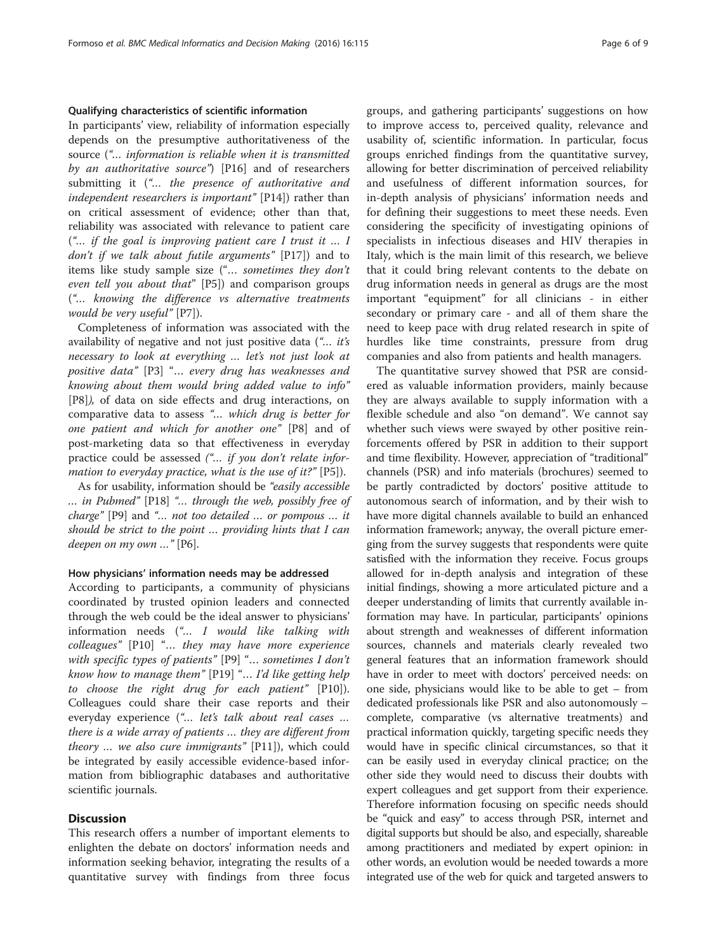## Qualifying characteristics of scientific information

In participants' view, reliability of information especially depends on the presumptive authoritativeness of the source ("… information is reliable when it is transmitted by an authoritative source") [P16] and of researchers submitting it ("... the presence of authoritative and independent researchers is important" [P14]) rather than on critical assessment of evidence; other than that, reliability was associated with relevance to patient care ("… if the goal is improving patient care I trust it … I don't if we talk about futile arguments" [P17]) and to items like study sample size ("… sometimes they don't even tell you about that" [P5]) and comparison groups ("… knowing the difference vs alternative treatments would be very useful" [P7]).

Completeness of information was associated with the availability of negative and not just positive data ("… it's necessary to look at everything … let's not just look at positive data" [P3] "… every drug has weaknesses and knowing about them would bring added value to info" [P8]), of data on side effects and drug interactions, on comparative data to assess "… which drug is better for one patient and which for another one" [P8] and of post-marketing data so that effectiveness in everyday practice could be assessed ("... if you don't relate information to everyday practice, what is the use of it?"  $[P5]$ ).

As for usability, information should be "easily accessible … in Pubmed" [P18] "… through the web, possibly free of charge" [P9] and "… not too detailed … or pompous … it should be strict to the point … providing hints that I can deepen on my own …" [P6].

#### How physicians' information needs may be addressed

According to participants, a community of physicians coordinated by trusted opinion leaders and connected through the web could be the ideal answer to physicians' information needs ("… I would like talking with colleagues" [P10] "… they may have more experience with specific types of patients" [P9] "... sometimes I don't know how to manage them" [P19] "… I'd like getting help to choose the right drug for each patient" [P10]). Colleagues could share their case reports and their everyday experience ("… let's talk about real cases … there is a wide array of patients … they are different from theory … we also cure immigrants" [P11]), which could be integrated by easily accessible evidence-based information from bibliographic databases and authoritative scientific journals.

# **Discussion**

This research offers a number of important elements to enlighten the debate on doctors' information needs and information seeking behavior, integrating the results of a quantitative survey with findings from three focus groups, and gathering participants' suggestions on how to improve access to, perceived quality, relevance and usability of, scientific information. In particular, focus groups enriched findings from the quantitative survey, allowing for better discrimination of perceived reliability and usefulness of different information sources, for in-depth analysis of physicians' information needs and for defining their suggestions to meet these needs. Even considering the specificity of investigating opinions of specialists in infectious diseases and HIV therapies in Italy, which is the main limit of this research, we believe that it could bring relevant contents to the debate on drug information needs in general as drugs are the most important "equipment" for all clinicians - in either secondary or primary care - and all of them share the need to keep pace with drug related research in spite of hurdles like time constraints, pressure from drug companies and also from patients and health managers.

The quantitative survey showed that PSR are considered as valuable information providers, mainly because they are always available to supply information with a flexible schedule and also "on demand". We cannot say whether such views were swayed by other positive reinforcements offered by PSR in addition to their support and time flexibility. However, appreciation of "traditional" channels (PSR) and info materials (brochures) seemed to be partly contradicted by doctors' positive attitude to autonomous search of information, and by their wish to have more digital channels available to build an enhanced information framework; anyway, the overall picture emerging from the survey suggests that respondents were quite satisfied with the information they receive. Focus groups allowed for in-depth analysis and integration of these initial findings, showing a more articulated picture and a deeper understanding of limits that currently available information may have. In particular, participants' opinions about strength and weaknesses of different information sources, channels and materials clearly revealed two general features that an information framework should have in order to meet with doctors' perceived needs: on one side, physicians would like to be able to get – from dedicated professionals like PSR and also autonomously – complete, comparative (vs alternative treatments) and practical information quickly, targeting specific needs they would have in specific clinical circumstances, so that it can be easily used in everyday clinical practice; on the other side they would need to discuss their doubts with expert colleagues and get support from their experience. Therefore information focusing on specific needs should be "quick and easy" to access through PSR, internet and digital supports but should be also, and especially, shareable among practitioners and mediated by expert opinion: in other words, an evolution would be needed towards a more integrated use of the web for quick and targeted answers to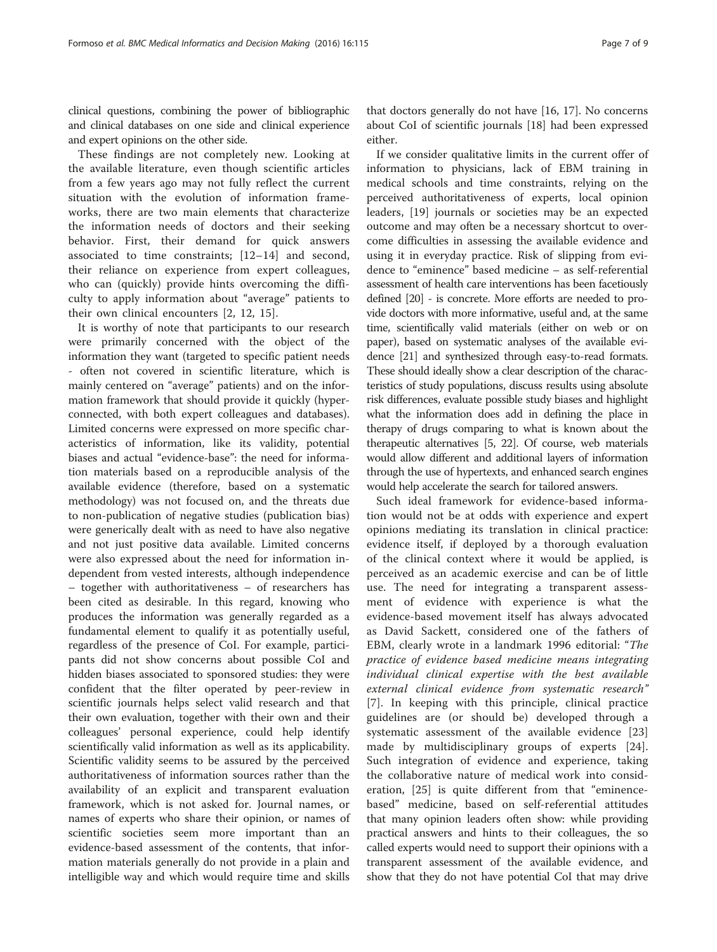clinical questions, combining the power of bibliographic and clinical databases on one side and clinical experience and expert opinions on the other side.

These findings are not completely new. Looking at the available literature, even though scientific articles from a few years ago may not fully reflect the current situation with the evolution of information frameworks, there are two main elements that characterize the information needs of doctors and their seeking behavior. First, their demand for quick answers associated to time constraints; [\[12](#page-8-0)–[14](#page-8-0)] and second, their reliance on experience from expert colleagues, who can (quickly) provide hints overcoming the difficulty to apply information about "average" patients to their own clinical encounters [\[2](#page-7-0), [12, 15\]](#page-8-0).

It is worthy of note that participants to our research were primarily concerned with the object of the information they want (targeted to specific patient needs - often not covered in scientific literature, which is mainly centered on "average" patients) and on the information framework that should provide it quickly (hyperconnected, with both expert colleagues and databases). Limited concerns were expressed on more specific characteristics of information, like its validity, potential biases and actual "evidence-base": the need for information materials based on a reproducible analysis of the available evidence (therefore, based on a systematic methodology) was not focused on, and the threats due to non-publication of negative studies (publication bias) were generically dealt with as need to have also negative and not just positive data available. Limited concerns were also expressed about the need for information independent from vested interests, although independence – together with authoritativeness – of researchers has been cited as desirable. In this regard, knowing who produces the information was generally regarded as a fundamental element to qualify it as potentially useful, regardless of the presence of CoI. For example, participants did not show concerns about possible CoI and hidden biases associated to sponsored studies: they were confident that the filter operated by peer-review in scientific journals helps select valid research and that their own evaluation, together with their own and their colleagues' personal experience, could help identify scientifically valid information as well as its applicability. Scientific validity seems to be assured by the perceived authoritativeness of information sources rather than the availability of an explicit and transparent evaluation framework, which is not asked for. Journal names, or names of experts who share their opinion, or names of scientific societies seem more important than an evidence-based assessment of the contents, that information materials generally do not provide in a plain and intelligible way and which would require time and skills

that doctors generally do not have [[16, 17\]](#page-8-0). No concerns about CoI of scientific journals [[18\]](#page-8-0) had been expressed either.

If we consider qualitative limits in the current offer of information to physicians, lack of EBM training in medical schools and time constraints, relying on the perceived authoritativeness of experts, local opinion leaders, [[19](#page-8-0)] journals or societies may be an expected outcome and may often be a necessary shortcut to overcome difficulties in assessing the available evidence and using it in everyday practice. Risk of slipping from evidence to "eminence" based medicine – as self-referential assessment of health care interventions has been facetiously defined [\[20](#page-8-0)] - is concrete. More efforts are needed to provide doctors with more informative, useful and, at the same time, scientifically valid materials (either on web or on paper), based on systematic analyses of the available evidence [[21](#page-8-0)] and synthesized through easy-to-read formats. These should ideally show a clear description of the characteristics of study populations, discuss results using absolute risk differences, evaluate possible study biases and highlight what the information does add in defining the place in therapy of drugs comparing to what is known about the therapeutic alternatives [\[5,](#page-8-0) [22\]](#page-8-0). Of course, web materials would allow different and additional layers of information through the use of hypertexts, and enhanced search engines would help accelerate the search for tailored answers.

Such ideal framework for evidence-based information would not be at odds with experience and expert opinions mediating its translation in clinical practice: evidence itself, if deployed by a thorough evaluation of the clinical context where it would be applied, is perceived as an academic exercise and can be of little use. The need for integrating a transparent assessment of evidence with experience is what the evidence-based movement itself has always advocated as David Sackett, considered one of the fathers of EBM, clearly wrote in a landmark 1996 editorial: "The practice of evidence based medicine means integrating individual clinical expertise with the best available external clinical evidence from systematic research" [[7\]](#page-8-0). In keeping with this principle, clinical practice guidelines are (or should be) developed through a systematic assessment of the available evidence [\[23](#page-8-0)] made by multidisciplinary groups of experts [\[24](#page-8-0)]. Such integration of evidence and experience, taking the collaborative nature of medical work into consideration, [\[25](#page-8-0)] is quite different from that "eminencebased" medicine, based on self-referential attitudes that many opinion leaders often show: while providing practical answers and hints to their colleagues, the so called experts would need to support their opinions with a transparent assessment of the available evidence, and show that they do not have potential CoI that may drive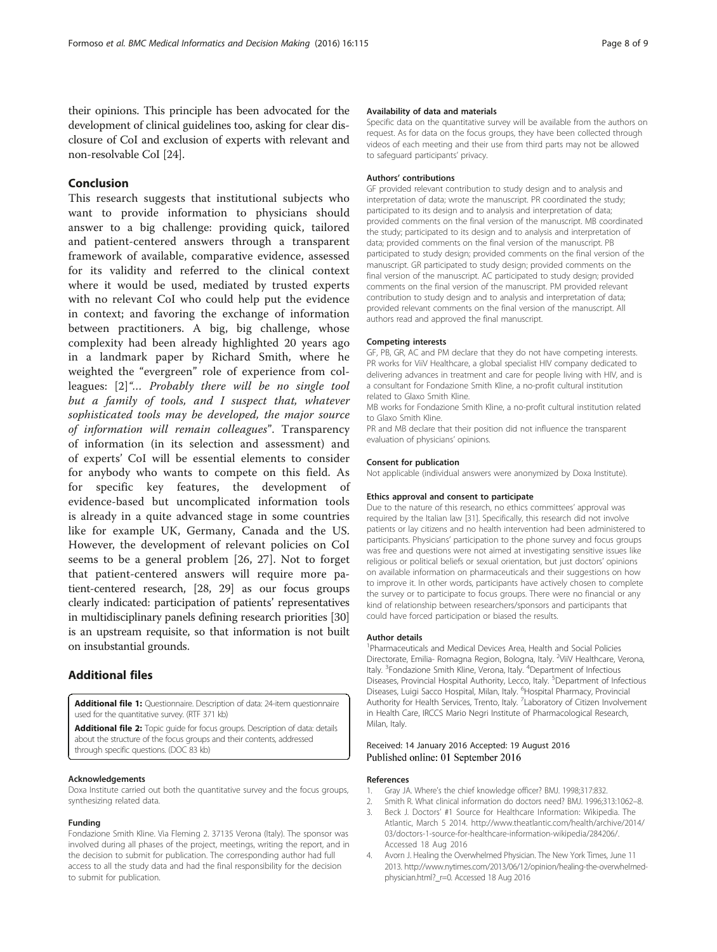<span id="page-7-0"></span>their opinions. This principle has been advocated for the development of clinical guidelines too, asking for clear disclosure of CoI and exclusion of experts with relevant and non-resolvable CoI [[24](#page-8-0)].

# Conclusion

This research suggests that institutional subjects who want to provide information to physicians should answer to a big challenge: providing quick, tailored and patient-centered answers through a transparent framework of available, comparative evidence, assessed for its validity and referred to the clinical context where it would be used, mediated by trusted experts with no relevant CoI who could help put the evidence in context; and favoring the exchange of information between practitioners. A big, big challenge, whose complexity had been already highlighted 20 years ago in a landmark paper by Richard Smith, where he weighted the "evergreen" role of experience from colleagues: [2]"… Probably there will be no single tool but a family of tools, and I suspect that, whatever sophisticated tools may be developed, the major source of information will remain colleagues". Transparency of information (in its selection and assessment) and of experts' CoI will be essential elements to consider for anybody who wants to compete on this field. As for specific key features, the development of evidence-based but uncomplicated information tools is already in a quite advanced stage in some countries like for example UK, Germany, Canada and the US. However, the development of relevant policies on CoI seems to be a general problem [\[26](#page-8-0), [27\]](#page-8-0). Not to forget that patient-centered answers will require more patient-centered research, [[28](#page-8-0), [29\]](#page-8-0) as our focus groups clearly indicated: participation of patients' representatives in multidisciplinary panels defining research priorities [[30](#page-8-0)] is an upstream requisite, so that information is not built on insubstantial grounds.

# Additional files

[Additional file 1:](dx.doi.org/10.1186/s12911-016-0355-7) Questionnaire. Description of data: 24-item questionnaire used for the quantitative survey. (RTF 371 kb)

[Additional file 2:](dx.doi.org/10.1186/s12911-016-0355-7) Topic guide for focus groups. Description of data: details about the structure of the focus groups and their contents, addressed through specific questions. (DOC 83 kb)

#### Acknowledgements

Doxa Institute carried out both the quantitative survey and the focus groups, synthesizing related data.

#### Funding

Fondazione Smith Kline. Via Fleming 2. 37135 Verona (Italy). The sponsor was involved during all phases of the project, meetings, writing the report, and in the decision to submit for publication. The corresponding author had full access to all the study data and had the final responsibility for the decision to submit for publication.

## Availability of data and materials

Specific data on the quantitative survey will be available from the authors on request. As for data on the focus groups, they have been collected through videos of each meeting and their use from third parts may not be allowed to safeguard participants' privacy.

#### Authors' contributions

GF provided relevant contribution to study design and to analysis and interpretation of data; wrote the manuscript. PR coordinated the study; participated to its design and to analysis and interpretation of data; provided comments on the final version of the manuscript. MB coordinated the study; participated to its design and to analysis and interpretation of data; provided comments on the final version of the manuscript. PB participated to study design; provided comments on the final version of the manuscript. GR participated to study design; provided comments on the final version of the manuscript. AC participated to study design; provided comments on the final version of the manuscript. PM provided relevant contribution to study design and to analysis and interpretation of data; provided relevant comments on the final version of the manuscript. All authors read and approved the final manuscript.

#### Competing interests

GF, PB, GR, AC and PM declare that they do not have competing interests. PR works for ViiV Healthcare, a global specialist HIV company dedicated to delivering advances in treatment and care for people living with HIV, and is a consultant for Fondazione Smith Kline, a no-profit cultural institution related to Glaxo Smith Kline.

MB works for Fondazione Smith Kline, a no-profit cultural institution related to Glaxo Smith Kline.

PR and MB declare that their position did not influence the transparent evaluation of physicians' opinions.

#### Consent for publication

Not applicable (individual answers were anonymized by Doxa Institute).

#### Ethics approval and consent to participate

Due to the nature of this research, no ethics committees' approval was required by the Italian law [\[31](#page-8-0)]. Specifically, this research did not involve patients or lay citizens and no health intervention had been administered to participants. Physicians' participation to the phone survey and focus groups was free and questions were not aimed at investigating sensitive issues like religious or political beliefs or sexual orientation, but just doctors' opinions on available information on pharmaceuticals and their suggestions on how to improve it. In other words, participants have actively chosen to complete the survey or to participate to focus groups. There were no financial or any kind of relationship between researchers/sponsors and participants that could have forced participation or biased the results.

#### Author details

<sup>1</sup>Pharmaceuticals and Medical Devices Area, Health and Social Policies Directorate, Emilia- Romagna Region, Bologna, Italy. <sup>2</sup>ViiV Healthcare, Verona Italy. <sup>3</sup>Fondazione Smith Kline, Verona, Italy. <sup>4</sup>Department of Infectious Diseases, Provincial Hospital Authority, Lecco, Italy. <sup>5</sup>Department of Infectious Diseases, Luigi Sacco Hospital, Milan, Italy. <sup>6</sup>Hospital Pharmacy, Provincial<br>Authority for Health Services, Trento, Italy. <sup>7</sup>Laboratory of Citizen Involvement in Health Care, IRCCS Mario Negri Institute of Pharmacological Research, Milan, Italy.

#### Received: 14 January 2016 Accepted: 19 August 2016 Published online: 01 September 2016

#### References

- 1. Gray JA. Where's the chief knowledge officer? BMJ. 1998;317:832.
- 2. Smith R. What clinical information do doctors need? BMJ. 1996;313:1062–8.
- 3. Beck J. Doctors' #1 Source for Healthcare Information: Wikipedia. The Atlantic, March 5 2014. [http://www.theatlantic.com/health/archive/2014/](http://www.theatlantic.com/health/archive/2014/03/doctors-1-source-for-healthcare-information-wikipedia/284206/) [03/doctors-1-source-for-healthcare-information-wikipedia/284206/](http://www.theatlantic.com/health/archive/2014/03/doctors-1-source-for-healthcare-information-wikipedia/284206/). Accessed 18 Aug 2016
- 4. Avorn J. Healing the Overwhelmed Physician. The New York Times, June 11 2013. [http://www.nytimes.com/2013/06/12/opinion/healing-the-overwhelmed](http://www.nytimes.com/2013/06/12/opinion/healing-the-overwhelmed-physician.html?_r=0)[physician.html?\\_r=0.](http://www.nytimes.com/2013/06/12/opinion/healing-the-overwhelmed-physician.html?_r=0) Accessed 18 Aug 2016